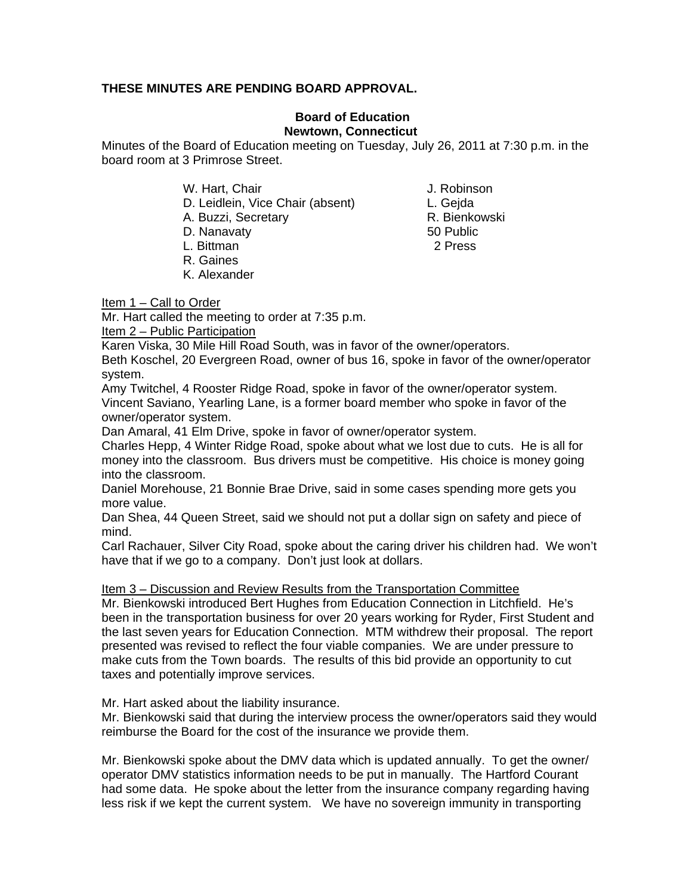## **THESE MINUTES ARE PENDING BOARD APPROVAL.**

## **Board of Education Newtown, Connecticut**

Minutes of the Board of Education meeting on Tuesday, July 26, 2011 at 7:30 p.m. in the board room at 3 Primrose Street.

W. Hart, Chair **J. Robinson** 

D. Leidlein, Vice Chair (absent) L. Gejda

A. Buzzi, Secretary **R. Bienkowski** 

- D. Nanavaty 60 Public 100 Public 100 Public 100 Public 100 Public 100 Public 100 Public 100 Public 100 Public 100 Public 100 Public 100 Public 100 Public 100 Public 100 Public 100 Public 100 Public 100 Public 100 Public 10
- 
- R. Gaines
- K. Alexander

L. Bittman 2 Press

Item 1 – Call to Order

Mr. Hart called the meeting to order at 7:35 p.m.

Item 2 – Public Participation

Karen Viska, 30 Mile Hill Road South, was in favor of the owner/operators.

Beth Koschel, 20 Evergreen Road, owner of bus 16, spoke in favor of the owner/operator system.

Amy Twitchel, 4 Rooster Ridge Road, spoke in favor of the owner/operator system. Vincent Saviano, Yearling Lane, is a former board member who spoke in favor of the owner/operator system.

Dan Amaral, 41 Elm Drive, spoke in favor of owner/operator system.

Charles Hepp, 4 Winter Ridge Road, spoke about what we lost due to cuts. He is all for money into the classroom. Bus drivers must be competitive. His choice is money going into the classroom.

Daniel Morehouse, 21 Bonnie Brae Drive, said in some cases spending more gets you more value.

Dan Shea, 44 Queen Street, said we should not put a dollar sign on safety and piece of mind.

Carl Rachauer, Silver City Road, spoke about the caring driver his children had. We won't have that if we go to a company. Don't just look at dollars.

Item 3 – Discussion and Review Results from the Transportation Committee

Mr. Bienkowski introduced Bert Hughes from Education Connection in Litchfield. He's been in the transportation business for over 20 years working for Ryder, First Student and the last seven years for Education Connection. MTM withdrew their proposal. The report presented was revised to reflect the four viable companies. We are under pressure to make cuts from the Town boards. The results of this bid provide an opportunity to cut taxes and potentially improve services.

Mr. Hart asked about the liability insurance.

Mr. Bienkowski said that during the interview process the owner/operators said they would reimburse the Board for the cost of the insurance we provide them.

Mr. Bienkowski spoke about the DMV data which is updated annually. To get the owner/ operator DMV statistics information needs to be put in manually. The Hartford Courant had some data. He spoke about the letter from the insurance company regarding having less risk if we kept the current system.We have no sovereign immunity in transporting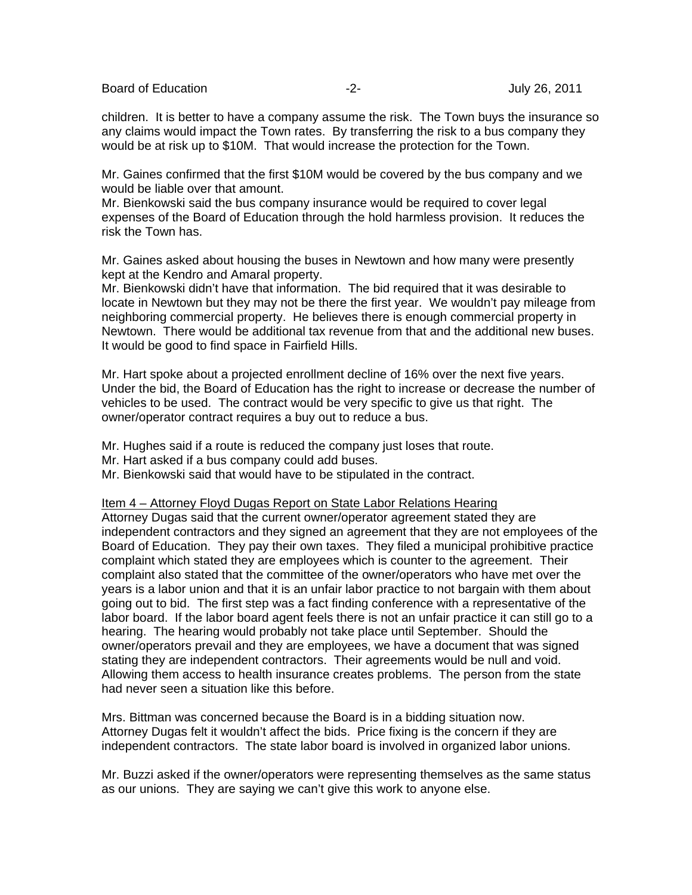Board of Education **-2-** Figure 2. The set of Education of Education  $-2$ - **July 26, 2011** 

children. It is better to have a company assume the risk. The Town buys the insurance so any claims would impact the Town rates. By transferring the risk to a bus company they would be at risk up to \$10M. That would increase the protection for the Town.

Mr. Gaines confirmed that the first \$10M would be covered by the bus company and we would be liable over that amount.

Mr. Bienkowski said the bus company insurance would be required to cover legal expenses of the Board of Education through the hold harmless provision. It reduces the risk the Town has.

Mr. Gaines asked about housing the buses in Newtown and how many were presently kept at the Kendro and Amaral property.

Mr. Bienkowski didn't have that information. The bid required that it was desirable to locate in Newtown but they may not be there the first year. We wouldn't pay mileage from neighboring commercial property. He believes there is enough commercial property in Newtown. There would be additional tax revenue from that and the additional new buses. It would be good to find space in Fairfield Hills.

Mr. Hart spoke about a projected enrollment decline of 16% over the next five years. Under the bid, the Board of Education has the right to increase or decrease the number of vehicles to be used. The contract would be very specific to give us that right. The owner/operator contract requires a buy out to reduce a bus.

Mr. Hughes said if a route is reduced the company just loses that route.

Mr. Hart asked if a bus company could add buses.

Mr. Bienkowski said that would have to be stipulated in the contract.

## Item 4 – Attorney Floyd Dugas Report on State Labor Relations Hearing

Attorney Dugas said that the current owner/operator agreement stated they are independent contractors and they signed an agreement that they are not employees of the Board of Education. They pay their own taxes. They filed a municipal prohibitive practice complaint which stated they are employees which is counter to the agreement. Their complaint also stated that the committee of the owner/operators who have met over the years is a labor union and that it is an unfair labor practice to not bargain with them about going out to bid. The first step was a fact finding conference with a representative of the labor board. If the labor board agent feels there is not an unfair practice it can still go to a hearing. The hearing would probably not take place until September. Should the owner/operators prevail and they are employees, we have a document that was signed stating they are independent contractors. Their agreements would be null and void. Allowing them access to health insurance creates problems. The person from the state had never seen a situation like this before.

Mrs. Bittman was concerned because the Board is in a bidding situation now. Attorney Dugas felt it wouldn't affect the bids. Price fixing is the concern if they are independent contractors. The state labor board is involved in organized labor unions.

Mr. Buzzi asked if the owner/operators were representing themselves as the same status as our unions. They are saying we can't give this work to anyone else.